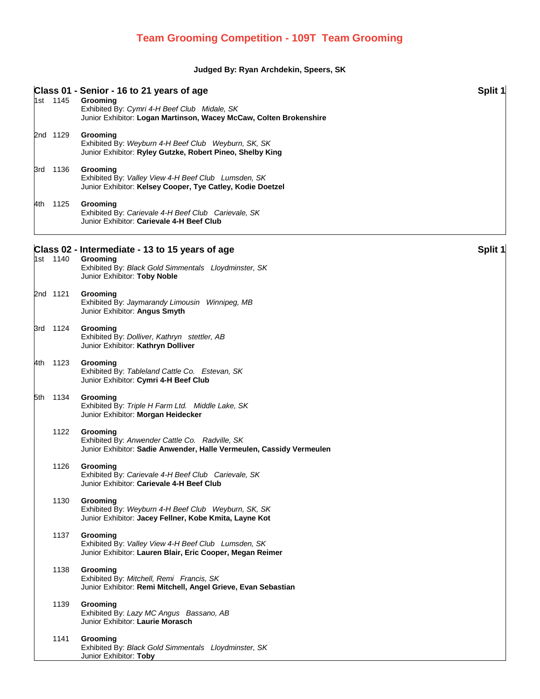## **Judged By: Ryan Archdekin, Speers, SK**

|  | 1st 1145 | Class 01 - Senior - 16 to 21 years of age<br>Grooming                                                                              | Split 1 |
|--|----------|------------------------------------------------------------------------------------------------------------------------------------|---------|
|  |          | Exhibited By: Cymri 4-H Beef Club Midale, SK<br>Junior Exhibitor: Logan Martinson, Wacey McCaw, Colten Brokenshire                 |         |
|  | 2nd 1129 | Grooming<br>Exhibited By: Weyburn 4-H Beef Club Weyburn, SK, SK<br>Junior Exhibitor: Ryley Gutzke, Robert Pineo, Shelby King       |         |
|  | 3rd 1136 | Grooming<br>Exhibited By: Valley View 4-H Beef Club Lumsden, SK<br>Junior Exhibitor: Kelsey Cooper, Tye Catley, Kodie Doetzel      |         |
|  | 4th 1125 | Grooming<br>Exhibited By: Carievale 4-H Beef Club Carievale, SK<br>Junior Exhibitor: Carievale 4-H Beef Club                       |         |
|  |          | Class 02 - Intermediate - 13 to 15 years of age                                                                                    | Split 1 |
|  | 1st 1140 | Grooming<br>Exhibited By: Black Gold Simmentals Lloydminster, SK<br>Junior Exhibitor: Toby Noble                                   |         |
|  | 2nd 1121 | Grooming<br>Exhibited By: Jaymarandy Limousin Winnipeg, MB<br>Junior Exhibitor: Angus Smyth                                        |         |
|  | 3rd 1124 | Grooming<br>Exhibited By: Dolliver, Kathryn stettler, AB<br>Junior Exhibitor: Kathryn Dolliver                                     |         |
|  | 4th 1123 | Grooming<br>Exhibited By: Tableland Cattle Co. Estevan, SK<br>Junior Exhibitor: Cymri 4-H Beef Club                                |         |
|  | 5th 1134 | Grooming<br>Exhibited By: Triple H Farm Ltd. Middle Lake, SK<br>Junior Exhibitor: Morgan Heidecker                                 |         |
|  | 1122     | Grooming<br>Exhibited By: Anwender Cattle Co. Radville, SK<br>Junior Exhibitor: Sadie Anwender, Halle Vermeulen, Cassidy Vermeulen |         |
|  | 1126     | Grooming<br>Exhibited By: Carievale 4-H Beef Club Carievale, SK<br>Junior Exhibitor: Carievale 4-H Beef Club                       |         |
|  | 1130     | Grooming<br>Exhibited By: Weyburn 4-H Beef Club Weyburn, SK, SK<br>Junior Exhibitor: Jacey Fellner, Kobe Kmita, Layne Kot          |         |
|  | 1137     | Grooming<br>Exhibited By: Valley View 4-H Beef Club Lumsden, SK<br>Junior Exhibitor: Lauren Blair, Eric Cooper, Megan Reimer       |         |
|  | 1138     | Grooming<br>Exhibited By: Mitchell, Remi Francis, SK<br>Junior Exhibitor: Remi Mitchell, Angel Grieve, Evan Sebastian              |         |
|  | 1139     | Grooming<br>Exhibited By: Lazy MC Angus Bassano, AB<br>Junior Exhibitor: Laurie Morasch                                            |         |
|  | 1141     | Grooming<br>Exhibited By: Black Gold Simmentals Lloydminster, SK<br>Junior Exhibitor: Toby                                         |         |